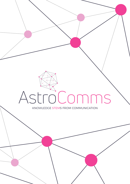# KNOWLEDGE STEMS FROM COMMUNICATION AstroComms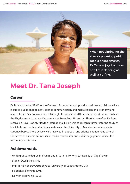

When not aiming for the stars or pursuing public media engagements, Dr Tana enjoys ballroom and Latin dancing as well as surfing.

# **Meet Dr. Tana Joseph**

## **Career**

Dr Tana worked at SAAO as the Outreach Astronomer and postdoctoral research fellow, which included public engagement, science communication and media liaison on astronomy and related topics. She was awarded a Fulbright Fellowship in 2017 and continued her research at the Physics and Astronomy Department at Texas Tech University. Shortly thereafter, Dr Tana received a Royal Society Newton International Fellowship to research further into the study of black hole and neutron star binary systems at the University of Manchester, where she is currently based. She is actively very involved in outreach and science engagement, wherein she serves as a media liaison, social media coordinator and public engagement officer for astronomy institutions.

# **Achievements**

- Undergraduate degree in Physics and MSc in Astronomy (University of Cape Town)
- Stobie-SALT Scholarship
- PhD in High Energy Astrophysics (University of Southampton, UK)
- Fulbright Fellowship (2017)
- Newton Fellowship (2018)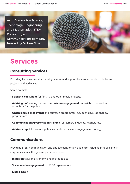AstroComms is a Science, Technology, Engineering and Mathematics (STEM) Consulting and Communications company headed by Dr Tana Joseph.



# **Services**

# **Consulting Services**

Providing technical scientific input, guidance and support for a wide variety of platforms, projects and audiences.

Some examples:

- **Scientific consultant** for film, TV and other media projects.
- **Advising on**/creating outreach and **science engagement materials** to be used in schools or for the public.
- **Organising science events** and outreach programmes, e.g. open days, job shadow programmes.
- **Communications/presentation training** for learners, students, teachers, etc.
- **Advisory input** for science policy, curricula and science engagement strategy.

## **Communications**

Providing STEM communication and engagement for any audience, including school learners, corporate events, the general public and more.

- **In person** talks on astronomy and related topics
- **Social media engagement** for STEM organisations
- **Media** liaison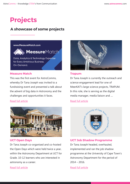# **Projects**

# **A showcase of some projects**

www.MeasureMatch.com

Data, Analytics & Technology Expertise for Every Ambitious Business. On-Demand.

**MeasureMatch** 

#### **Measure Match**

This was the first event for AstroComms, whereby Dr Tana Joseph was invited to a fundraising event and presented a talk about the advent of big data in Astronomy and the challenges and opportunities it faces.

#### Read full article



#### **UCT Open Days**

Dr Tana Joseph co-organised and co-hosted the Open Days which were held twice a year, within the Astronomy Department at UCT for Grade. 10-12 learners who are interested in astronomy as a career.



#### **Trapum**

Dr Tana Joseph is currently the outreach and science engagement lead for one of MeerKAT's large science projects, TRAPUM. In this role, she is serving as the digital media manager, media liaison and ....

#### Read full article



#### **UCT Job Shadow Programme**

implemented and ran the job shadow programme at the University of Cape Town's Astronomy Department for the period of 2014 – 2016.

Read full article

#### Read full article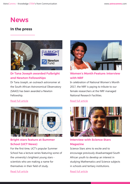# **News**

# **In the press**



## **Dr Tana Joseph awarded Fulbright and Newton Fellowships**

Dr Tana Joseph, an outreach astronomer at the South African Astronomical Observatory (SAAO) has been awarded a Newton Fellowship.

#### Read full article



## **Bright stars feature at Summer School (UCT News)**

For the first time, UCT's popular Summer School has a lecture series featuring some of the university's brightest young stars scientists who are making a name for themselves in their field of study.



**Women's Month Feature: Interview with NRF**

In celebration of National Women's Month 2017, the NRF is paying to tribute to our female researchers at the NRF managed National Research Facilities.

#### Read full article



## **Interview with Science Stars Magazine**

Science Stars aims to excite and to encourage previously disadvantaged South African youth to develop an interest in studying Mathematics and Science subjects in schools and tertiary institutions.

Read full article

Read full article